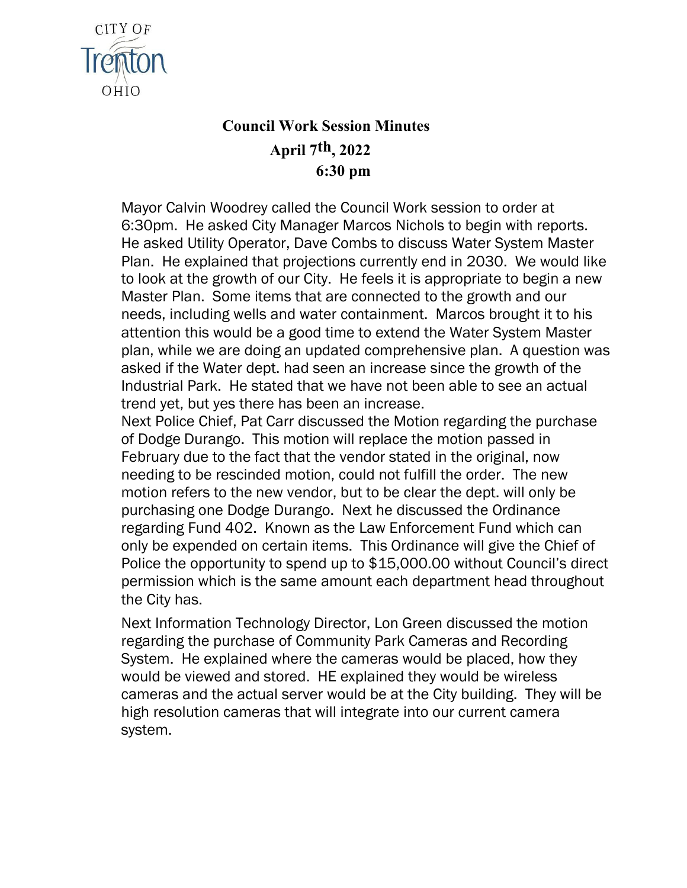

## **Council Work Session Minutes April 7th, 2022 6:30 pm**

Mayor Calvin Woodrey called the Council Work session to order at 6:30pm. He asked City Manager Marcos Nichols to begin with reports. He asked Utility Operator, Dave Combs to discuss Water System Master Plan. He explained that projections currently end in 2030. We would like to look at the growth of our City. He feels it is appropriate to begin a new Master Plan. Some items that are connected to the growth and our needs, including wells and water containment. Marcos brought it to his attention this would be a good time to extend the Water System Master plan, while we are doing an updated comprehensive plan. A question was asked if the Water dept. had seen an increase since the growth of the Industrial Park. He stated that we have not been able to see an actual trend yet, but yes there has been an increase.

Next Police Chief, Pat Carr discussed the Motion regarding the purchase of Dodge Durango. This motion will replace the motion passed in February due to the fact that the vendor stated in the original, now needing to be rescinded motion, could not fulfill the order. The new motion refers to the new vendor, but to be clear the dept. will only be purchasing one Dodge Durango. Next he discussed the Ordinance regarding Fund 402. Known as the Law Enforcement Fund which can only be expended on certain items. This Ordinance will give the Chief of Police the opportunity to spend up to \$15,000.00 without Council's direct permission which is the same amount each department head throughout the City has.

Next Information Technology Director, Lon Green discussed the motion regarding the purchase of Community Park Cameras and Recording System. He explained where the cameras would be placed, how they would be viewed and stored. HE explained they would be wireless cameras and the actual server would be at the City building. They will be high resolution cameras that will integrate into our current camera system.